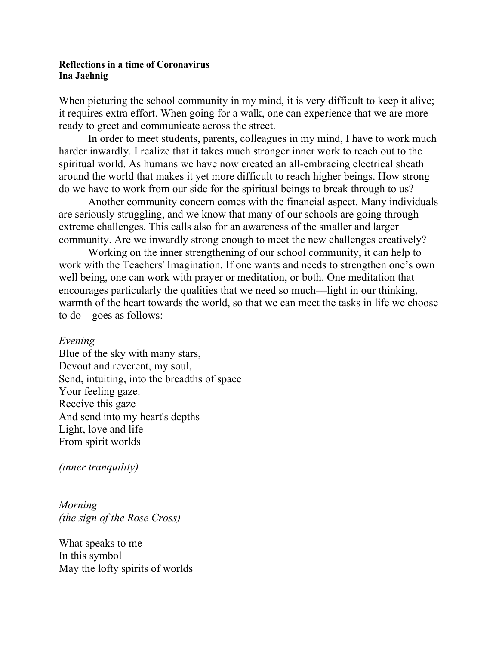## **Reflections in a time of Coronavirus Ina Jaehnig**

When picturing the school community in my mind, it is very difficult to keep it alive; it requires extra effort. When going for a walk, one can experience that we are more ready to greet and communicate across the street.

In order to meet students, parents, colleagues in my mind, I have to work much harder inwardly. I realize that it takes much stronger inner work to reach out to the spiritual world. As humans we have now created an all-embracing electrical sheath around the world that makes it yet more difficult to reach higher beings. How strong do we have to work from our side for the spiritual beings to break through to us?

Another community concern comes with the financial aspect. Many individuals are seriously struggling, and we know that many of our schools are going through extreme challenges. This calls also for an awareness of the smaller and larger community. Are we inwardly strong enough to meet the new challenges creatively?

Working on the inner strengthening of our school community, it can help to work with the Teachers' Imagination. If one wants and needs to strengthen one's own well being, one can work with prayer or meditation, or both. One meditation that encourages particularly the qualities that we need so much––light in our thinking, warmth of the heart towards the world, so that we can meet the tasks in life we choose to do––goes as follows:

## *Evening*

Blue of the sky with many stars, Devout and reverent, my soul, Send, intuiting, into the breadths of space Your feeling gaze. Receive this gaze And send into my heart's depths Light, love and life From spirit worlds

*(inner tranquility)*

*Morning (the sign of the Rose Cross)*

What speaks to me In this symbol May the lofty spirits of worlds